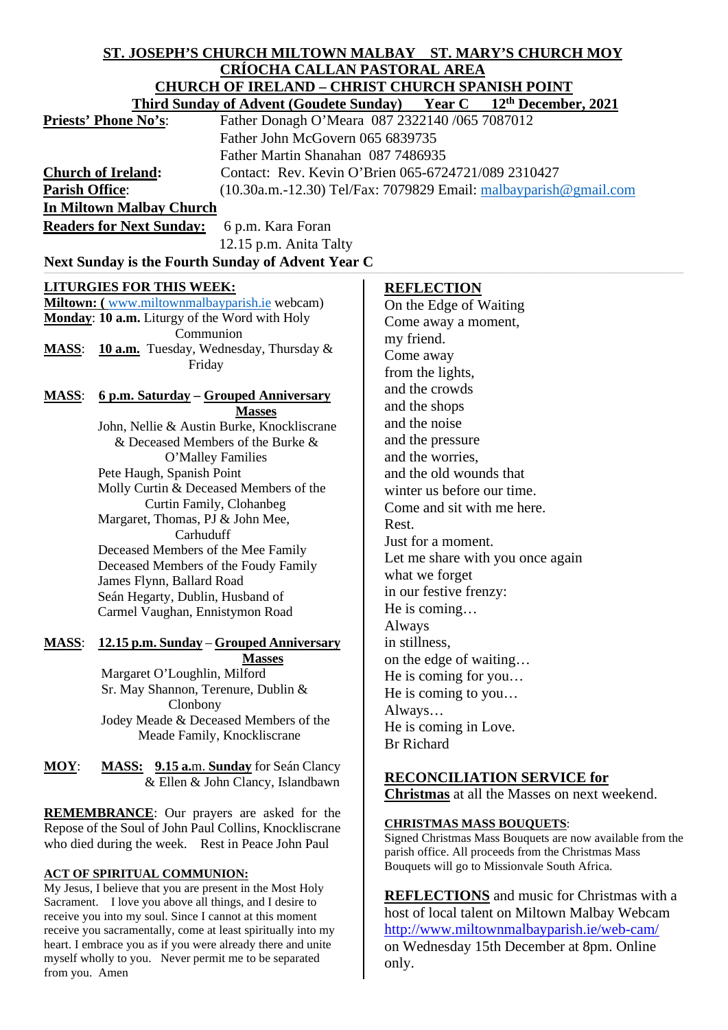# **ST. JOSEPH'S CHURCH MILTOWN MALBAY ST. MARY'S CHURCH MOY CRÍOCHA CALLAN PASTORAL AREA**<br>CHUDCH OF IREI AND CHRIST CHURCH SPA **CHURCH OF IRELAND – CHRIST CHURCH SPANISH POINT**

| <u> CHUNCH OF INELAND – CHNIST CHUNCH SFANISH FOINT</u>                                     |                                                      |                                                                                                      |  |
|---------------------------------------------------------------------------------------------|------------------------------------------------------|------------------------------------------------------------------------------------------------------|--|
| Year C<br>12 <sup>th</sup> December, 2021<br><b>Third Sunday of Advent (Goudete Sunday)</b> |                                                      |                                                                                                      |  |
| <b>Priests' Phone No's:</b>                                                                 |                                                      | Father Donagh O'Meara 087 2322140 /065 7087012                                                       |  |
|                                                                                             | Father John McGovern 065 6839735                     |                                                                                                      |  |
|                                                                                             | Father Martin Shanahan 087 7486935                   |                                                                                                      |  |
|                                                                                             | <b>Church of Ireland:</b>                            | Contact: Rev. Kevin O'Brien 065-6724721/089 2310427                                                  |  |
| <b>Parish Office:</b>                                                                       |                                                      |                                                                                                      |  |
|                                                                                             |                                                      | $(10.30a.m.-12.30)$ Tel/Fax: 7079829 Email: $malbayparish@gmail.com$                                 |  |
|                                                                                             | In Miltown Malbay Church                             |                                                                                                      |  |
|                                                                                             | <b>Readers for Next Sunday:</b><br>6 p.m. Kara Foran |                                                                                                      |  |
|                                                                                             | 12.15 p.m. Anita Talty                               |                                                                                                      |  |
| Next Sunday is the Fourth Sunday of Advent Year C                                           |                                                      |                                                                                                      |  |
|                                                                                             |                                                      |                                                                                                      |  |
|                                                                                             | <b>LITURGIES FOR THIS WEEK:</b>                      | <b>REFLECTION</b>                                                                                    |  |
| Miltown: (www.miltownmalbayparish.ie webcam)                                                |                                                      | On the Edge of Waiting                                                                               |  |
|                                                                                             | Monday: 10 a.m. Liturgy of the Word with Holy        | Come away a moment,                                                                                  |  |
|                                                                                             | Communion                                            | my friend.                                                                                           |  |
| <b>MASS:</b>                                                                                | 10 a.m. Tuesday, Wednesday, Thursday &               | Come away                                                                                            |  |
|                                                                                             | Friday                                               |                                                                                                      |  |
|                                                                                             |                                                      | from the lights,                                                                                     |  |
| 6 p.m. Saturday - Grouped Anniversary<br><b>MASS:</b>                                       |                                                      | and the crowds                                                                                       |  |
|                                                                                             | <b>Masses</b>                                        | and the shops                                                                                        |  |
|                                                                                             | John, Nellie & Austin Burke, Knockliscrane           | and the noise                                                                                        |  |
|                                                                                             | & Deceased Members of the Burke &                    | and the pressure                                                                                     |  |
|                                                                                             | O'Malley Families                                    | and the worries,                                                                                     |  |
|                                                                                             | Pete Haugh, Spanish Point                            | and the old wounds that                                                                              |  |
|                                                                                             | Molly Curtin & Deceased Members of the               | winter us before our time.                                                                           |  |
|                                                                                             | Curtin Family, Clohanbeg                             | Come and sit with me here.                                                                           |  |
|                                                                                             | Margaret, Thomas, PJ & John Mee,                     | Rest.                                                                                                |  |
|                                                                                             | Carhuduff                                            | Just for a moment.                                                                                   |  |
|                                                                                             | Deceased Members of the Mee Family                   |                                                                                                      |  |
|                                                                                             | Deceased Members of the Foudy Family                 | Let me share with you once again                                                                     |  |
|                                                                                             | James Flynn, Ballard Road                            | what we forget                                                                                       |  |
|                                                                                             | Seán Hegarty, Dublin, Husband of                     | in our festive frenzy:                                                                               |  |
|                                                                                             | Carmel Vaughan, Ennistymon Road                      | He is coming                                                                                         |  |
|                                                                                             |                                                      | Always                                                                                               |  |
| <u>MASS:</u>                                                                                | 12.15 p.m. Sunday - Grouped Anniversary              | in stillness,                                                                                        |  |
|                                                                                             | <b>Masses</b>                                        | on the edge of waiting                                                                               |  |
|                                                                                             | Margaret O'Loughlin, Milford                         | He is coming for you                                                                                 |  |
|                                                                                             | Sr. May Shannon, Terenure, Dublin &                  | He is coming to you                                                                                  |  |
|                                                                                             | Clonbony                                             | Always                                                                                               |  |
|                                                                                             | Jodey Meade & Deceased Members of the                | He is coming in Love.                                                                                |  |
|                                                                                             | Meade Family, Knockliscrane                          | <b>Br</b> Richard                                                                                    |  |
|                                                                                             |                                                      |                                                                                                      |  |
| $MOY$ :                                                                                     | MASS: 9.15 a.m. Sunday for Seán Clancy               |                                                                                                      |  |
|                                                                                             | & Ellen & John Clancy, Islandbawn                    | <b>RECONCILIATION SERVICE for</b>                                                                    |  |
|                                                                                             |                                                      | <b>Christmas</b> at all the Masses on next weekend.                                                  |  |
| <b>REMEMBRANCE:</b> Our prayers are asked for the                                           |                                                      |                                                                                                      |  |
| Repose of the Soul of John Paul Collins, Knockliscrane                                      |                                                      | <b>CHRISTMAS MASS BOUQUETS:</b>                                                                      |  |
| who died during the week. Rest in Peace John Paul                                           |                                                      | Signed Christmas Mass Bouquets are now available from the                                            |  |
|                                                                                             |                                                      | parish office. All proceeds from the Christmas Mass<br>Bouquets will go to Missionvale South Africa. |  |
| <b>ACT OF SPIRITUAL COMMUNION:</b>                                                          |                                                      |                                                                                                      |  |

My Jesus, I believe that you are present in the Most Holy Sacrament. I love you above all things, and I desire to receive you into my soul. Since I cannot at this moment receive you sacramentally, come at least spiritually into my heart. I embrace you as if you were already there and unite myself wholly to you. Never permit me to be separated

from you. Amen

**REFLECTIONS** and music for Christmas with a host of local talent on Miltown Malbay Webcam <http://www.miltownmalbayparish.ie/web-cam/> on Wednesday 15th December at 8pm. Online only.